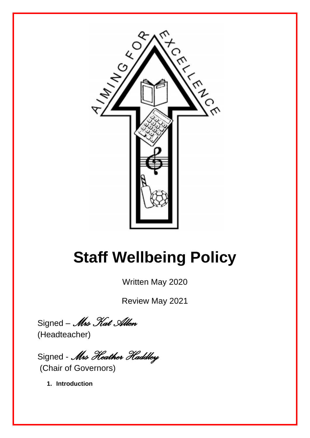

# **Staff Wellbeing Policy**

Written May 2020

Review May 2021

Signed – *Mrs Kat Allen* (Headteacher)

Signed - *Mrs Heather Haddley* (Chair of Governors)

**1. Introduction**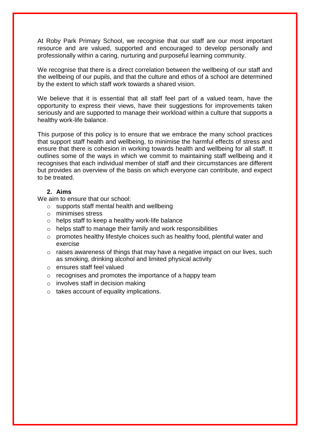At Roby Park Primary School, we recognise that our staff are our most important resource and are valued, supported and encouraged to develop personally and professionally within a caring, nurturing and purposeful learning community.

We recognise that there is a direct correlation between the wellbeing of our staff and the wellbeing of our pupils, and that the culture and ethos of a school are determined by the extent to which staff work towards a shared vision.

We believe that it is essential that all staff feel part of a valued team, have the opportunity to express their views, have their suggestions for improvements taken seriously and are supported to manage their workload within a culture that supports a healthy work-life balance.

This purpose of this policy is to ensure that we embrace the many school practices that support staff health and wellbeing, to minimise the harmful effects of stress and ensure that there is cohesion in working towards health and wellbeing for all staff. It outlines some of the ways in which we commit to maintaining staff wellbeing and it recognises that each individual member of staff and their circumstances are different but provides an overview of the basis on which everyone can contribute, and expect to be treated.

# **2. Aims**

We aim to ensure that our school:

- o supports staff mental health and wellbeing
- o minimises stress
- o helps staff to keep a healthy work-life balance
- $\circ$  helps staff to manage their family and work responsibilities
- o promotes healthy lifestyle choices such as healthy food, plentiful water and exercise
- $\circ$  raises awareness of things that may have a negative impact on our lives, such as smoking, drinking alcohol and limited physical activity
- o ensures staff feel valued
- $\circ$  recognises and promotes the importance of a happy team
- $\circ$  involves staff in decision making
- o takes account of equality implications.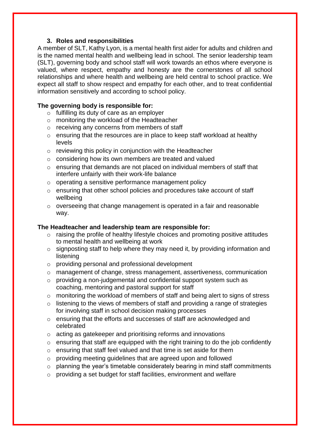## **3. Roles and responsibilities**

A member of SLT, Kathy Lyon, is a mental health first aider for adults and children and is the named mental health and wellbeing lead in school. The senior leadership team (SLT), governing body and school staff will work towards an ethos where everyone is valued, where respect, empathy and honesty are the cornerstones of all school relationships and where health and wellbeing are held central to school practice. We expect all staff to show respect and empathy for each other, and to treat confidential information sensitively and according to school policy.

## **The governing body is responsible for:**

- o fulfilling its duty of care as an employer
- o monitoring the workload of the Headteacher
- o receiving any concerns from members of staff
- o ensuring that the resources are in place to keep staff workload at healthy levels
- o reviewing this policy in conjunction with the Headteacher
- o considering how its own members are treated and valued
- o ensuring that demands are not placed on individual members of staff that interfere unfairly with their work-life balance
- o operating a sensitive performance management policy
- o ensuring that other school policies and procedures take account of staff wellbeing
- o overseeing that change management is operated in a fair and reasonable way.

#### **The Headteacher and leadership team are responsible for:**

- $\circ$  raising the profile of healthy lifestyle choices and promoting positive attitudes to mental health and wellbeing at work
- $\circ$  signposting staff to help where they may need it, by providing information and listening
- o providing personal and professional development
- o management of change, stress management, assertiveness, communication
- o providing a non-judgemental and confidential support system such as coaching, mentoring and pastoral support for staff
- o monitoring the workload of members of staff and being alert to signs of stress
- $\circ$  listening to the views of members of staff and providing a range of strategies for involving staff in school decision making processes
- o ensuring that the efforts and successes of staff are acknowledged and celebrated
- o acting as gatekeeper and prioritising reforms and innovations
- o ensuring that staff are equipped with the right training to do the job confidently
- o ensuring that staff feel valued and that time is set aside for them
- o providing meeting guidelines that are agreed upon and followed
- o planning the year's timetable considerately bearing in mind staff commitments
- o providing a set budget for staff facilities, environment and welfare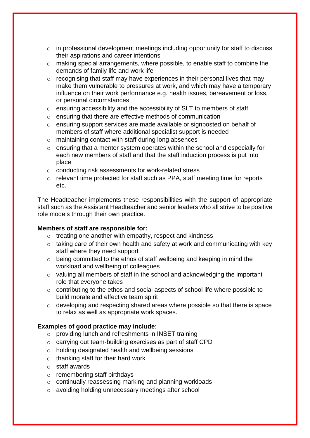- o in professional development meetings including opportunity for staff to discuss their aspirations and career intentions
- o making special arrangements, where possible, to enable staff to combine the demands of family life and work life
- $\circ$  recognising that staff may have experiences in their personal lives that may make them vulnerable to pressures at work, and which may have a temporary influence on their work performance e.g. health issues, bereavement or loss, or personal circumstances
- o ensuring accessibility and the accessibility of SLT to members of staff
- o ensuring that there are effective methods of communication
- o ensuring support services are made available or signposted on behalf of members of staff where additional specialist support is needed
- o maintaining contact with staff during long absences
- o ensuring that a mentor system operates within the school and especially for each new members of staff and that the staff induction process is put into place
- o conducting risk assessments for work-related stress
- o relevant time protected for staff such as PPA, staff meeting time for reports etc.

The Headteacher implements these responsibilities with the support of appropriate staff such as the Assistant Headteacher and senior leaders who all strive to be positive role models through their own practice.

#### **Members of staff are responsible for:**

- o treating one another with empathy, respect and kindness
- $\circ$  taking care of their own health and safety at work and communicating with key staff where they need support
- o being committed to the ethos of staff wellbeing and keeping in mind the workload and wellbeing of colleagues
- o valuing all members of staff in the school and acknowledging the important role that everyone takes
- o contributing to the ethos and social aspects of school life where possible to build morale and effective team spirit
- o developing and respecting shared areas where possible so that there is space to relax as well as appropriate work spaces.

## **Examples of good practice may include**:

- o providing lunch and refreshments in INSET training
- o carrying out team-building exercises as part of staff CPD
- o holding designated health and wellbeing sessions
- $\circ$  thanking staff for their hard work
- o staff awards
- o remembering staff birthdays
- o continually reassessing marking and planning workloads
- o avoiding holding unnecessary meetings after school